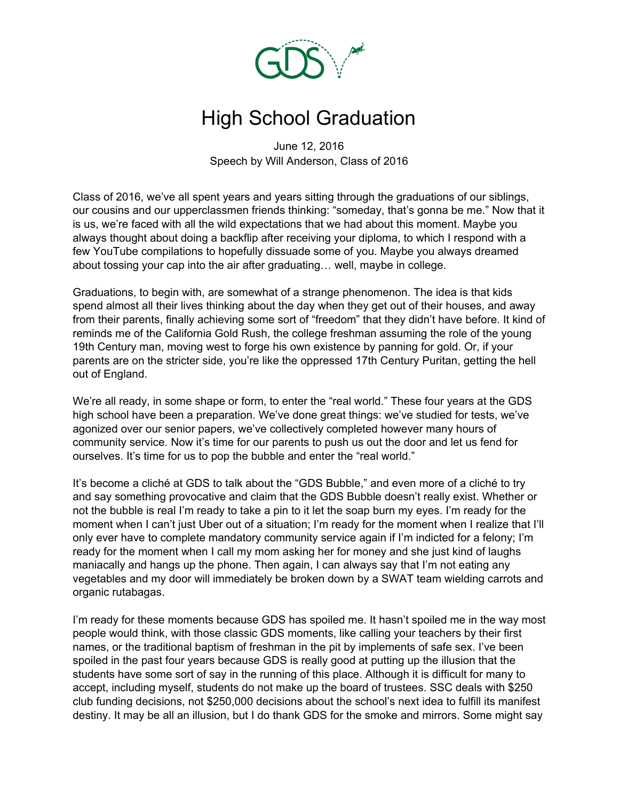

## High School Graduation

June 12, 2016 Speech by Will Anderson, Class of 2016

Class of 2016, we've all spent years and years sitting through the graduations of our siblings, our cousins and our upperclassmen friends thinking: "someday, that's gonna be me." Now that it is us, we're faced with all the wild expectations that we had about this moment. Maybe you always thought about doing a backflip after receiving your diploma, to which I respond with a few YouTube compilations to hopefully dissuade some of you. Maybe you always dreamed about tossing your cap into the air after graduating… well, maybe in college.

Graduations, to begin with, are somewhat of a strange phenomenon. The idea is that kids spend almost all their lives thinking about the day when they get out of their houses, and away from their parents, finally achieving some sort of "freedom" that they didn't have before. It kind of reminds me of the California Gold Rush, the college freshman assuming the role of the young 19th Century man, moving west to forge his own existence by panning for gold. Or, if your parents are on the stricter side, you're like the oppressed 17th Century Puritan, getting the hell out of England.

We're all ready, in some shape or form, to enter the "real world." These four years at the GDS high school have been a preparation. We've done great things: we've studied for tests, we've agonized over our senior papers, we've collectively completed however many hours of community service. Now it's time for our parents to push us out the door and let us fend for ourselves. It's time for us to pop the bubble and enter the "real world."

It's become a cliché at GDS to talk about the "GDS Bubble," and even more of a cliché to try and say something provocative and claim that the GDS Bubble doesn't really exist. Whether or not the bubble is real I'm ready to take a pin to it let the soap burn my eyes. I'm ready for the moment when I can't just Uber out of a situation; I'm ready for the moment when I realize that I'll only ever have to complete mandatory community service again if I'm indicted for a felony; I'm ready for the moment when I call my mom asking her for money and she just kind of laughs maniacally and hangs up the phone. Then again, I can always say that I'm not eating any vegetables and my door will immediately be broken down by a SWAT team wielding carrots and organic rutabagas.

I'm ready for these moments because GDS has spoiled me. It hasn't spoiled me in the way most people would think, with those classic GDS moments, like calling your teachers by their first names, or the traditional baptism of freshman in the pit by implements of safe sex. I've been spoiled in the past four years because GDS is really good at putting up the illusion that the students have some sort of say in the running of this place. Although it is difficult for many to accept, including myself, students do not make up the board of trustees. SSC deals with \$250 club funding decisions, not \$250,000 decisions about the school's next idea to fulfill its manifest destiny. It may be all an illusion, but I do thank GDS for the smoke and mirrors. Some might say